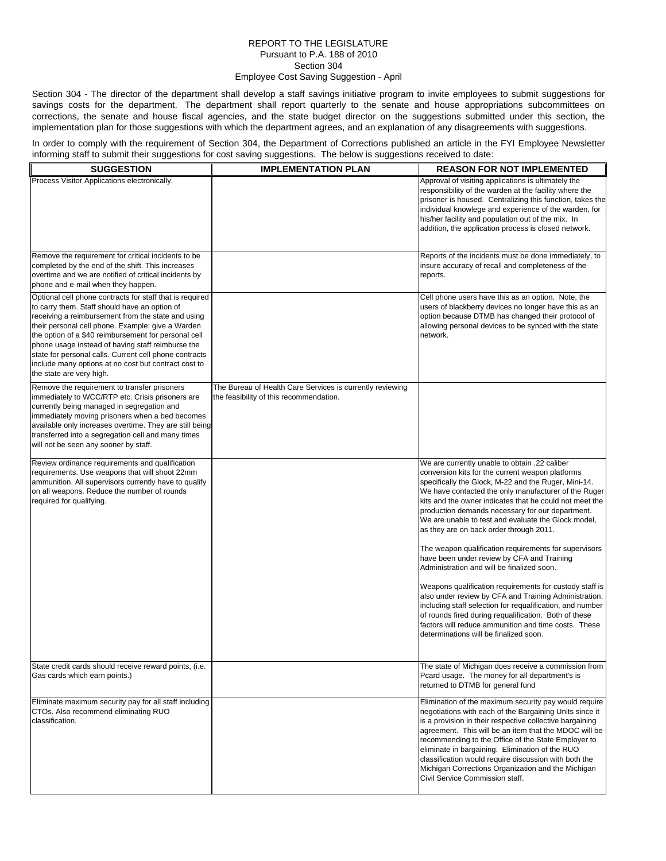## REPORT TO THE LEGISLATURE Pursuant to P.A. 188 of 2010 Section 304 Employee Cost Saving Suggestion - April

Section 304 - The director of the department shall develop a staff savings initiative program to invite employees to submit suggestions for savings costs for the department. The department shall report quarterly to the senate and house appropriations subcommittees on corrections, the senate and house fiscal agencies, and the state budget director on the suggestions submitted under this section, the implementation plan for those suggestions with which the department agrees, and an explanation of any disagreements with suggestions.

In order to comply with the requirement of Section 304, the Department of Corrections published an article in the FYI Employee Newsletter informing staff to submit their suggestions for cost saving suggestions. The below is suggestions received to date:

| <b>SUGGESTION</b>                                                                                                                                                                                                                                                                                                                                                                                                                                                               | <b>IMPLEMENTATION PLAN</b>                                                                           | <b>REASON FOR NOT IMPLEMENTED</b>                                                                                                                                                                                                                                                                                                                                                                                                                                                                                                                                                                                                                                                                                                                                                                                                                                                                                                   |
|---------------------------------------------------------------------------------------------------------------------------------------------------------------------------------------------------------------------------------------------------------------------------------------------------------------------------------------------------------------------------------------------------------------------------------------------------------------------------------|------------------------------------------------------------------------------------------------------|-------------------------------------------------------------------------------------------------------------------------------------------------------------------------------------------------------------------------------------------------------------------------------------------------------------------------------------------------------------------------------------------------------------------------------------------------------------------------------------------------------------------------------------------------------------------------------------------------------------------------------------------------------------------------------------------------------------------------------------------------------------------------------------------------------------------------------------------------------------------------------------------------------------------------------------|
| Process Visitor Applications electronically.                                                                                                                                                                                                                                                                                                                                                                                                                                    |                                                                                                      | Approval of visiting applications is ultimately the<br>responsibility of the warden at the facility where the<br>prisoner is housed. Centralizing this function, takes the<br>individual knowlege and experience of the warden, for<br>his/her facility and population out of the mix. In<br>addition, the application process is closed network.                                                                                                                                                                                                                                                                                                                                                                                                                                                                                                                                                                                   |
| Remove the requirement for critical incidents to be<br>completed by the end of the shift. This increases<br>overtime and we are notified of critical incidents by<br>phone and e-mail when they happen.                                                                                                                                                                                                                                                                         |                                                                                                      | Reports of the incidents must be done immediately, to<br>insure accuracy of recall and completeness of the<br>reports.                                                                                                                                                                                                                                                                                                                                                                                                                                                                                                                                                                                                                                                                                                                                                                                                              |
| Optional cell phone contracts for staff that is required<br>to carry them. Staff should have an option of<br>receiving a reimbursement from the state and using<br>their personal cell phone. Example: give a Warden<br>the option of a \$40 reimbursement for personal cell<br>phone usage instead of having staff reimburse the<br>state for personal calls. Current cell phone contracts<br>include many options at no cost but contract cost to<br>the state are very high. |                                                                                                      | Cell phone users have this as an option. Note, the<br>users of blackberry devices no longer have this as an<br>option because DTMB has changed their protocol of<br>allowing personal devices to be synced with the state<br>network.                                                                                                                                                                                                                                                                                                                                                                                                                                                                                                                                                                                                                                                                                               |
| Remove the requirement to transfer prisoners<br>immediately to WCC/RTP etc. Crisis prisoners are<br>currently being managed in segregation and<br>immediately moving prisoners when a bed becomes<br>available only increases overtime. They are still being<br>transferred into a segregation cell and many times<br>will not be seen any sooner by staff.                                                                                                                     | The Bureau of Health Care Services is currently reviewing<br>the feasibility of this recommendation. |                                                                                                                                                                                                                                                                                                                                                                                                                                                                                                                                                                                                                                                                                                                                                                                                                                                                                                                                     |
| Review ordinance requirements and qualification<br>requirements. Use weapons that will shoot 22mm<br>ammunition. All supervisors currently have to qualify<br>on all weapons. Reduce the number of rounds<br>required for qualifying.                                                                                                                                                                                                                                           |                                                                                                      | We are currently unable to obtain .22 caliber<br>conversion kits for the current weapon platforms<br>specifically the Glock, M-22 and the Ruger, Mini-14.<br>We have contacted the only manufacturer of the Ruger<br>kits and the owner indicates that he could not meet the<br>production demands necessary for our department.<br>We are unable to test and evaluate the Glock model,<br>as they are on back order through 2011.<br>The weapon qualification requirements for supervisors<br>have been under review by CFA and Training<br>Administration and will be finalized soon.<br>Weapons qualification requirements for custody staff is<br>also under review by CFA and Training Administration,<br>including staff selection for requalification, and number<br>of rounds fired during requalification. Both of these<br>factors will reduce ammunition and time costs. These<br>determinations will be finalized soon. |
| State credit cards should receive reward points, (i.e.<br>Gas cards which earn points.)                                                                                                                                                                                                                                                                                                                                                                                         |                                                                                                      | The state of Michigan does receive a commission from<br>Pcard usage. The money for all department's is<br>returned to DTMB for general fund                                                                                                                                                                                                                                                                                                                                                                                                                                                                                                                                                                                                                                                                                                                                                                                         |
| Eliminate maximum security pay for all staff including<br>CTOs. Also recommend eliminating RUO<br>classification.                                                                                                                                                                                                                                                                                                                                                               |                                                                                                      | Elimination of the maximum security pay would require<br>negotiations with each of the Bargaining Units since it<br>is a provision in their respective collective bargaining<br>agreement. This will be an item that the MDOC will be<br>recommending to the Office of the State Employer to<br>eliminate in bargaining. Elimination of the RUO<br>classification would require discussion with both the<br>Michigan Corrections Organization and the Michigan<br>Civil Service Commission staff.                                                                                                                                                                                                                                                                                                                                                                                                                                   |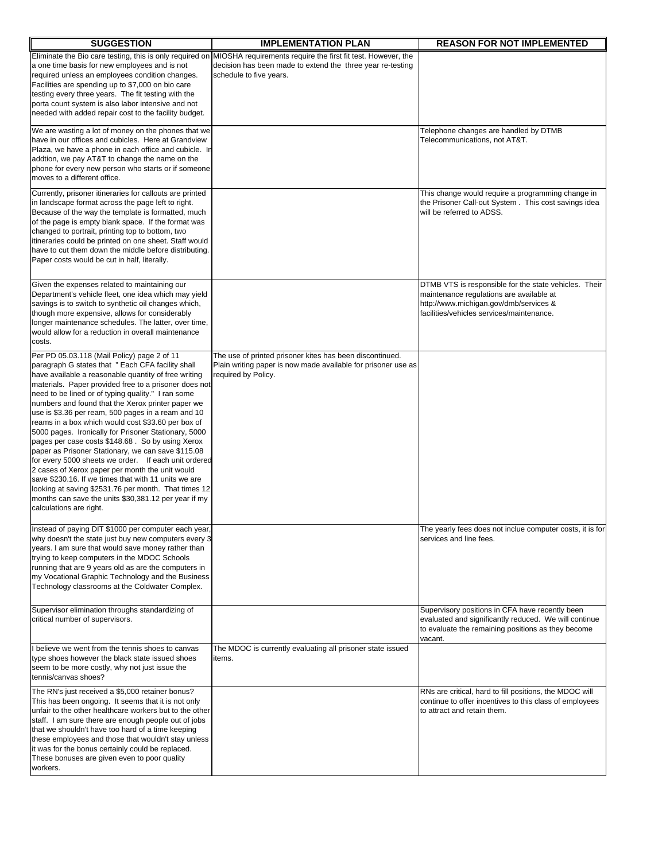| <b>SUGGESTION</b>                                                                                                                                                                                                                                                                                                                                                                                                                                                                                                                                                                                                                                                                                                                                                                                                                                                                                                        | <b>IMPLEMENTATION PLAN</b>                                                                                                                                                                                     | <b>REASON FOR NOT IMPLEMENTED</b>                                                                                                                                                        |
|--------------------------------------------------------------------------------------------------------------------------------------------------------------------------------------------------------------------------------------------------------------------------------------------------------------------------------------------------------------------------------------------------------------------------------------------------------------------------------------------------------------------------------------------------------------------------------------------------------------------------------------------------------------------------------------------------------------------------------------------------------------------------------------------------------------------------------------------------------------------------------------------------------------------------|----------------------------------------------------------------------------------------------------------------------------------------------------------------------------------------------------------------|------------------------------------------------------------------------------------------------------------------------------------------------------------------------------------------|
| a one time basis for new employees and is not<br>required unless an employees condition changes.<br>Facilities are spending up to \$7,000 on bio care<br>testing every three years. The fit testing with the<br>porta count system is also labor intensive and not<br>needed with added repair cost to the facility budget.                                                                                                                                                                                                                                                                                                                                                                                                                                                                                                                                                                                              | Eliminate the Bio care testing, this is only required on MIOSHA requirements require the first fit test. However, the<br>decision has been made to extend the three year re-testing<br>schedule to five years. |                                                                                                                                                                                          |
| We are wasting a lot of money on the phones that we<br>have in our offices and cubicles. Here at Grandview<br>Plaza, we have a phone in each office and cubicle. In<br>addtion, we pay AT&T to change the name on the<br>phone for every new person who starts or if someone<br>moves to a different office.                                                                                                                                                                                                                                                                                                                                                                                                                                                                                                                                                                                                             |                                                                                                                                                                                                                | Telephone changes are handled by DTMB<br>Telecommunications, not AT&T.                                                                                                                   |
| Currently, prisoner itineraries for callouts are printed<br>in landscape format across the page left to right.<br>Because of the way the template is formatted, much<br>of the page is empty blank space. If the format was<br>changed to portrait, printing top to bottom, two<br>itineraries could be printed on one sheet. Staff would<br>have to cut them down the middle before distributing.<br>Paper costs would be cut in half, literally.                                                                                                                                                                                                                                                                                                                                                                                                                                                                       |                                                                                                                                                                                                                | This change would require a programming change in<br>the Prisoner Call-out System. This cost savings idea<br>will be referred to ADSS.                                                   |
| Given the expenses related to maintaining our<br>Department's vehicle fleet, one idea which may yield<br>savings is to switch to synthetic oil changes which,<br>though more expensive, allows for considerably<br>longer maintenance schedules. The latter, over time,<br>would allow for a reduction in overall maintenance<br>costs.                                                                                                                                                                                                                                                                                                                                                                                                                                                                                                                                                                                  |                                                                                                                                                                                                                | DTMB VTS is responsible for the state vehicles. Their<br>maintenance regulations are available at<br>http://www.michigan.gov/dmb/services &<br>facilities/vehicles services/maintenance. |
| Per PD 05.03.118 (Mail Policy) page 2 of 11<br>paragraph G states that " Each CFA facility shall<br>have available a reasonable quantity of free writing<br>materials. Paper provided free to a prisoner does not<br>need to be lined or of typing quality." I ran some<br>numbers and found that the Xerox printer paper we<br>use is \$3.36 per ream, 500 pages in a ream and 10<br>reams in a box which would cost \$33.60 per box of<br>5000 pages. Ironically for Prisoner Stationary, 5000<br>pages per case costs \$148.68. So by using Xerox<br>paper as Prisoner Stationary, we can save \$115.08<br>for every 5000 sheets we order. If each unit ordered<br>2 cases of Xerox paper per month the unit would<br>save \$230.16. If we times that with 11 units we are<br>looking at saving \$2531.76 per month. That times 12<br>months can save the units \$30,381.12 per year if my<br>calculations are right. | The use of printed prisoner kites has been discontinued.<br>Plain writing paper is now made available for prisoner use as<br>required by Policy.                                                               |                                                                                                                                                                                          |
| Instead of paying DIT \$1000 per computer each year,<br>why doesn't the state just buy new computers every 3<br>years. I am sure that would save money rather than<br>trying to keep computers in the MDOC Schools<br>running that are 9 years old as are the computers in<br>my Vocational Graphic Technology and the Business<br>Technology classrooms at the Coldwater Complex.                                                                                                                                                                                                                                                                                                                                                                                                                                                                                                                                       |                                                                                                                                                                                                                | The yearly fees does not inclue computer costs, it is for<br>services and line fees.                                                                                                     |
| Supervisor elimination throughs standardizing of<br>critical number of supervisors.                                                                                                                                                                                                                                                                                                                                                                                                                                                                                                                                                                                                                                                                                                                                                                                                                                      |                                                                                                                                                                                                                | Supervisory positions in CFA have recently been<br>evaluated and significantly reduced. We will continue<br>to evaluate the remaining positions as they become<br>vacant.                |
| believe we went from the tennis shoes to canvas<br>type shoes however the black state issued shoes<br>seem to be more costly, why not just issue the<br>tennis/canvas shoes?                                                                                                                                                                                                                                                                                                                                                                                                                                                                                                                                                                                                                                                                                                                                             | The MDOC is currently evaluating all prisoner state issued<br>items.                                                                                                                                           |                                                                                                                                                                                          |
| The RN's just received a \$5,000 retainer bonus?<br>This has been ongoing. It seems that it is not only<br>unfair to the other healthcare workers but to the other<br>staff. I am sure there are enough people out of jobs<br>that we shouldn't have too hard of a time keeping<br>these employees and those that wouldn't stay unless<br>it was for the bonus certainly could be replaced.<br>These bonuses are given even to poor quality<br>workers.                                                                                                                                                                                                                                                                                                                                                                                                                                                                  |                                                                                                                                                                                                                | RNs are critical, hard to fill positions, the MDOC will<br>continue to offer incentives to this class of employees<br>to attract and retain them.                                        |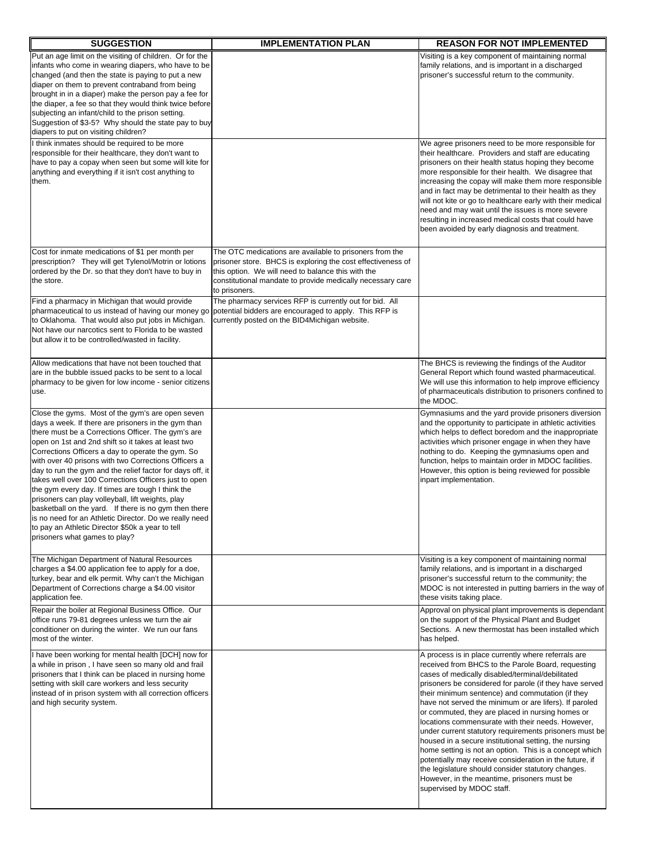| <b>SUGGESTION</b>                                                                                                                                                                                                                                                                                                                                                                                                                                                                                                                                                                                                                                                                                                                                                        | <b>IMPLEMENTATION PLAN</b>                                                                                                                                                                                                                                  | <b>REASON FOR NOT IMPLEMENTED</b>                                                                                                                                                                                                                                                                                                                                                                                                                                                                                                                                                                                                                                                                                                                                                                                         |
|--------------------------------------------------------------------------------------------------------------------------------------------------------------------------------------------------------------------------------------------------------------------------------------------------------------------------------------------------------------------------------------------------------------------------------------------------------------------------------------------------------------------------------------------------------------------------------------------------------------------------------------------------------------------------------------------------------------------------------------------------------------------------|-------------------------------------------------------------------------------------------------------------------------------------------------------------------------------------------------------------------------------------------------------------|---------------------------------------------------------------------------------------------------------------------------------------------------------------------------------------------------------------------------------------------------------------------------------------------------------------------------------------------------------------------------------------------------------------------------------------------------------------------------------------------------------------------------------------------------------------------------------------------------------------------------------------------------------------------------------------------------------------------------------------------------------------------------------------------------------------------------|
| Put an age limit on the visiting of children. Or for the<br>infants who come in wearing diapers, who have to be<br>changed (and then the state is paying to put a new<br>diaper on them to prevent contraband from being<br>brought in in a diaper) make the person pay a fee for<br>the diaper, a fee so that they would think twice before<br>subjecting an infant/child to the prison setting.<br>Suggestion of \$3-5? Why should the state pay to buy                                                                                                                                                                                                                                                                                                                |                                                                                                                                                                                                                                                             | Visiting is a key component of maintaining normal<br>family relations, and is important in a discharged<br>prisoner's successful return to the community.                                                                                                                                                                                                                                                                                                                                                                                                                                                                                                                                                                                                                                                                 |
| diapers to put on visiting children?<br>I think inmates should be required to be more<br>responsible for their healthcare, they don't want to<br>have to pay a copay when seen but some will kite for<br>anything and everything if it isn't cost anything to<br>them.                                                                                                                                                                                                                                                                                                                                                                                                                                                                                                   |                                                                                                                                                                                                                                                             | We agree prisoners need to be more responsible for<br>their healthcare. Providers and staff are educating<br>prisoners on their health status hoping they become<br>more responsible for their health. We disagree that<br>increasing the copay will make them more responsible<br>and in fact may be detrimental to their health as they<br>will not kite or go to healthcare early with their medical<br>need and may wait until the issues is more severe<br>resulting in increased medical costs that could have<br>been avoided by early diagnosis and treatment.                                                                                                                                                                                                                                                    |
| Cost for inmate medications of \$1 per month per<br>prescription? They will get Tylenol/Motrin or lotions<br>ordered by the Dr. so that they don't have to buy in<br>the store.                                                                                                                                                                                                                                                                                                                                                                                                                                                                                                                                                                                          | The OTC medications are available to prisoners from the<br>prisoner store. BHCS is exploring the cost effectiveness of<br>this option. We will need to balance this with the<br>constitutional mandate to provide medically necessary care<br>to prisoners. |                                                                                                                                                                                                                                                                                                                                                                                                                                                                                                                                                                                                                                                                                                                                                                                                                           |
| Find a pharmacy in Michigan that would provide<br>pharmaceutical to us instead of having our money go<br>to Oklahoma. That would also put jobs in Michigan.<br>Not have our narcotics sent to Florida to be wasted<br>but allow it to be controlled/wasted in facility.                                                                                                                                                                                                                                                                                                                                                                                                                                                                                                  | The pharmacy services RFP is currently out for bid. All<br>potential bidders are encouraged to apply. This RFP is<br>currently posted on the BID4Michigan website.                                                                                          |                                                                                                                                                                                                                                                                                                                                                                                                                                                                                                                                                                                                                                                                                                                                                                                                                           |
| Allow medications that have not been touched that<br>are in the bubble issued packs to be sent to a local<br>pharmacy to be given for low income - senior citizens<br>use.                                                                                                                                                                                                                                                                                                                                                                                                                                                                                                                                                                                               |                                                                                                                                                                                                                                                             | The BHCS is reviewing the findings of the Auditor<br>General Report which found wasted pharmaceutical.<br>We will use this information to help improve efficiency<br>of pharmaceuticals distribution to prisoners confined to<br>the MDOC.                                                                                                                                                                                                                                                                                                                                                                                                                                                                                                                                                                                |
| Close the gyms. Most of the gym's are open seven<br>days a week. If there are prisoners in the gym than<br>there must be a Corrections Officer. The gym's are<br>open on 1st and 2nd shift so it takes at least two<br>Corrections Officers a day to operate the gym. So<br>with over 40 prisons with two Corrections Officers a<br>day to run the gym and the relief factor for days off, it<br>takes well over 100 Corrections Officers just to open<br>the gym every day. If times are tough I think the<br>prisoners can play volleyball, lift weights, play<br>basketball on the yard. If there is no gym then there<br>is no need for an Athletic Director. Do we really need<br>to pay an Athletic Director \$50k a year to tell<br>prisoners what games to play? |                                                                                                                                                                                                                                                             | Gymnasiums and the yard provide prisoners diversion<br>and the opportunity to participate in athletic activities<br>which helps to deflect boredom and the inappropriate<br>activities which prisoner engage in when they have<br>nothing to do. Keeping the gymnasiums open and<br>function, helps to maintain order in MDOC facilities.<br>However, this option is being reviewed for possible<br>inpart implementation.                                                                                                                                                                                                                                                                                                                                                                                                |
| The Michigan Department of Natural Resources<br>charges a \$4.00 application fee to apply for a doe,<br>turkey, bear and elk permit. Why can't the Michigan<br>Department of Corrections charge a \$4.00 visitor<br>application fee.                                                                                                                                                                                                                                                                                                                                                                                                                                                                                                                                     |                                                                                                                                                                                                                                                             | Visiting is a key component of maintaining normal<br>family relations, and is important in a discharged<br>prisoner's successful return to the community; the<br>MDOC is not interested in putting barriers in the way of<br>these visits taking place.                                                                                                                                                                                                                                                                                                                                                                                                                                                                                                                                                                   |
| Repair the boiler at Regional Business Office. Our<br>office runs 79-81 degrees unless we turn the air<br>conditioner on during the winter. We run our fans<br>most of the winter.                                                                                                                                                                                                                                                                                                                                                                                                                                                                                                                                                                                       |                                                                                                                                                                                                                                                             | Approval on physical plant improvements is dependant<br>on the support of the Physical Plant and Budget<br>Sections. A new thermostat has been installed which<br>has helped.                                                                                                                                                                                                                                                                                                                                                                                                                                                                                                                                                                                                                                             |
| I have been working for mental health [DCH] now for<br>a while in prison, I have seen so many old and frail<br>prisoners that I think can be placed in nursing home<br>setting with skill care workers and less security<br>instead of in prison system with all correction officers<br>and high security system.                                                                                                                                                                                                                                                                                                                                                                                                                                                        |                                                                                                                                                                                                                                                             | A process is in place currently where referrals are<br>received from BHCS to the Parole Board, requesting<br>cases of medically disabled/terminal/debilitated<br>prisoners be considered for parole (if they have served<br>their minimum sentence) and commutation (if they<br>have not served the minimum or are lifers). If paroled<br>or commuted, they are placed in nursing homes or<br>locations commensurate with their needs. However,<br>under current statutory requirements prisoners must be<br>housed in a secure institutional setting, the nursing<br>home setting is not an option. This is a concept which<br>potentially may receive consideration in the future, if<br>the legislature should consider statutory changes.<br>However, in the meantime, prisoners must be<br>supervised by MDOC staff. |